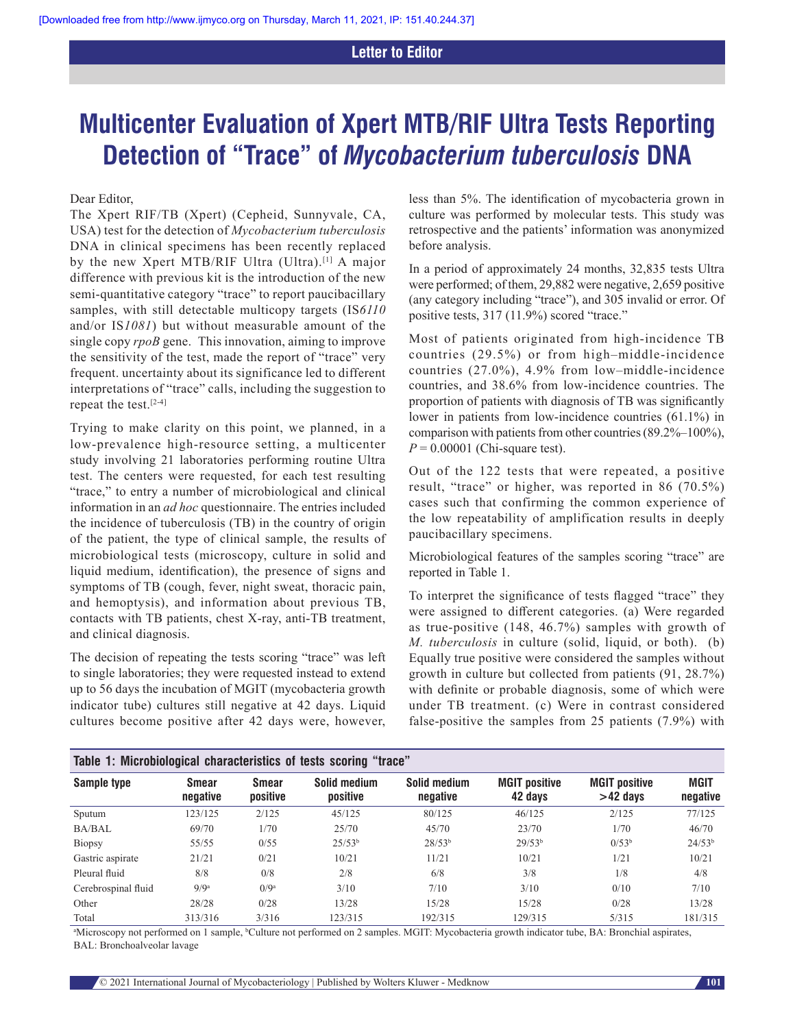## **Letter to Editor**

# **Multicenter Evaluation of Xpert MTB/RIF Ultra Tests Reporting Detection of "Trace" of** *Mycobacterium tuberculosis* **DNA**

Dear Editor,

The Xpert RIF/TB (Xpert) (Cepheid, Sunnyvale, CA, USA) test for the detection of *Mycobacterium tuberculosis* DNA in clinical specimens has been recently replaced by the new Xpert MTB/RIF Ultra (Ultra).<sup>[1]</sup> A major difference with previous kit is the introduction of the new semi-quantitative category "trace" to report paucibacillary samples, with still detectable multicopy targets (IS*6110* and/or IS*1081*) but without measurable amount of the single copy *rpoB* gene. This innovation, aiming to improve the sensitivity of the test, made the report of "trace" very frequent. uncertainty about its significance led to different interpretations of "trace" calls, including the suggestion to repeat the test.[2‑4]

Trying to make clarity on this point, we planned, in a low-prevalence high-resource setting, a multicenter study involving 21 laboratories performing routine Ultra test. The centers were requested, for each test resulting "trace," to entry a number of microbiological and clinical information in an *ad hoc* questionnaire. The entries included the incidence of tuberculosis (TB) in the country of origin of the patient, the type of clinical sample, the results of microbiological tests (microscopy, culture in solid and liquid medium, identification), the presence of signs and symptoms of TB (cough, fever, night sweat, thoracic pain, and hemoptysis), and information about previous TB, contacts with TB patients, chest X‑ray, anti‑TB treatment, and clinical diagnosis.

The decision of repeating the tests scoring "trace" was left to single laboratories; they were requested instead to extend up to 56 days the incubation of MGIT (mycobacteria growth indicator tube) cultures still negative at 42 days. Liquid cultures become positive after 42 days were, however,

less than 5%. The identification of mycobacteria grown in culture was performed by molecular tests. This study was retrospective and the patients' information was anonymized before analysis.

In a period of approximately 24 months, 32,835 tests Ultra were performed; of them, 29,882 were negative, 2,659 positive (any category including "trace"), and 305 invalid or error. Of positive tests, 317 (11.9%) scored "trace."

Most of patients originated from high-incidence TB countries (29.5%) or from high–middle‑incidence countries (27.0%), 4.9% from low–middle‑incidence countries, and 38.6% from low‑incidence countries. The proportion of patients with diagnosis of TB was significantly lower in patients from low-incidence countries (61.1%) in comparison with patients from other countries  $(89.2\% - 100\%)$ ,  $P = 0.00001$  (Chi-square test).

Out of the 122 tests that were repeated, a positive result, "trace" or higher, was reported in 86 (70.5%) cases such that confirming the common experience of the low repeatability of amplification results in deeply paucibacillary specimens.

Microbiological features of the samples scoring "trace" are reported in Table 1.

To interpret the significance of tests flagged "trace" they were assigned to different categories. (a) Were regarded as true-positive  $(148, 46.7%)$  samples with growth of *M. tuberculosis* in culture (solid, liquid, or both). (b) Equally true positive were considered the samples without growth in culture but collected from patients (91, 28.7%) with definite or probable diagnosis, some of which were under TB treatment. (c) Were in contrast considered false-positive the samples from 25 patients  $(7.9\%)$  with

| Table 1: Microbiological characteristics of tests scoring "trace" |                   |                   |                          |                          |                                 |                                    |                         |
|-------------------------------------------------------------------|-------------------|-------------------|--------------------------|--------------------------|---------------------------------|------------------------------------|-------------------------|
| Sample type                                                       | Smear<br>negative | Smear<br>positive | Solid medium<br>positive | Solid medium<br>negative | <b>MGIT positive</b><br>42 days | <b>MGIT positive</b><br>$>42$ days | <b>MGIT</b><br>negative |
| Sputum                                                            | 123/125           | 2/125             | 45/125                   | 80/125                   | 46/125                          | 2/125                              | 77/125                  |
| <b>BA/BAL</b>                                                     | 69/70             | 1/70              | 25/70                    | 45/70                    | 23/70                           | 1/70                               | 46/70                   |
| Biopsy                                                            | 55/55             | 0/55              | 25/53 <sup>b</sup>       | 28/53 <sup>b</sup>       | 29/53 <sup>b</sup>              | 0/53 <sup>b</sup>                  | 24/53 <sup>b</sup>      |
| Gastric aspirate                                                  | 21/21             | 0/21              | 10/21                    | 11/21                    | 10/21                           | 1/21                               | 10/21                   |
| Pleural fluid                                                     | 8/8               | 0/8               | 2/8                      | 6/8                      | 3/8                             | 1/8                                | 4/8                     |
| Cerebrospinal fluid                                               | 9/9a              | $0/9^a$           | 3/10                     | 7/10                     | 3/10                            | 0/10                               | 7/10                    |
| Other                                                             | 28/28             | 0/28              | 13/28                    | 15/28                    | 15/28                           | 0/28                               | 13/28                   |
| Total                                                             | 313/316           | 3/316             | 123/315                  | 192/315                  | 129/315                         | 5/315                              | 181/315                 |

<sup>a</sup>Microscopy not performed on 1 sample, <sup>b</sup>Culture not performed on 2 samples. MGIT: Mycobacteria growth indicator tube, BA: Bronchial aspirates, BAL: Bronchoalveolar lavage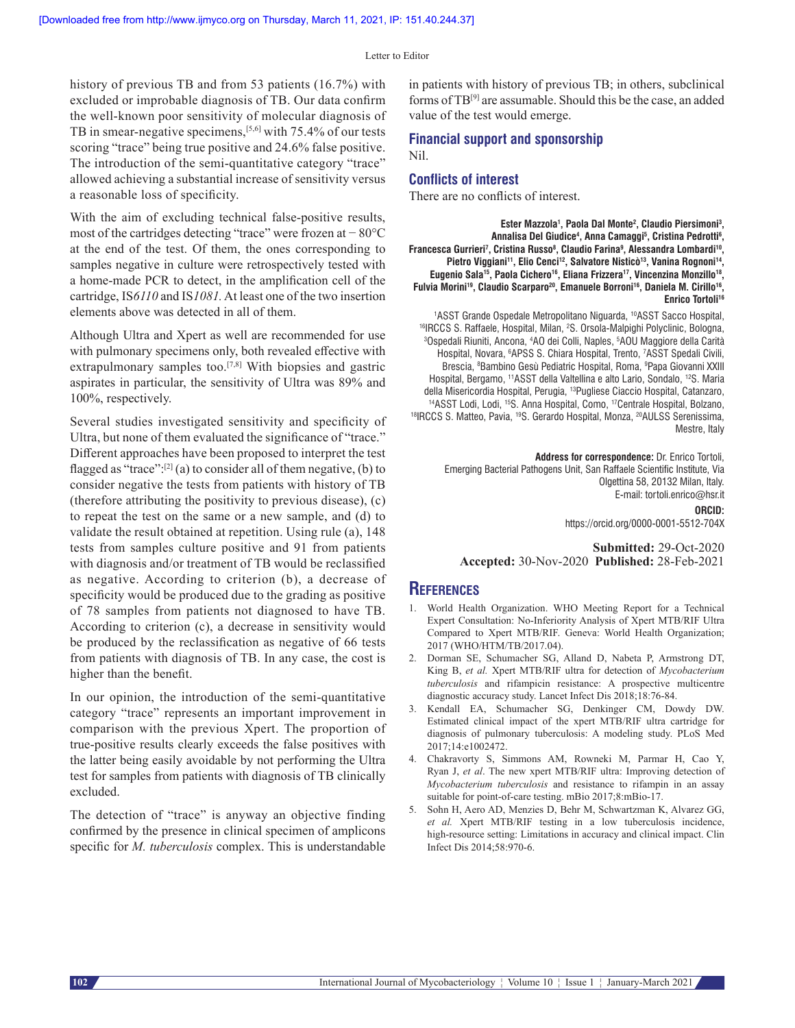Letter to Editor

history of previous TB and from 53 patients (16.7%) with excluded or improbable diagnosis of TB. Our data confirm the well-known poor sensitivity of molecular diagnosis of TB in smear-negative specimens,<sup>[5,6]</sup> with 75.4% of our tests scoring "trace" being true positive and 24.6% false positive. The introduction of the semi-quantitative category "trace" allowed achieving a substantial increase of sensitivity versus a reasonable loss of specificity.

With the aim of excluding technical false-positive results, most of the cartridges detecting "trace" were frozen at − 80°C at the end of the test. Of them, the ones corresponding to samples negative in culture were retrospectively tested with a home‑made PCR to detect, in the amplification cell of the cartridge, IS*6110* and IS*1081.*At least one of the two insertion elements above was detected in all of them.

Although Ultra and Xpert as well are recommended for use with pulmonary specimens only, both revealed effective with extrapulmonary samples too.<sup>[7,8]</sup> With biopsies and gastric aspirates in particular, the sensitivity of Ultra was 89% and 100%, respectively.

Several studies investigated sensitivity and specificity of Ultra, but none of them evaluated the significance of "trace." Different approaches have been proposed to interpret the test flagged as "trace": $[2]$  (a) to consider all of them negative, (b) to consider negative the tests from patients with history of TB (therefore attributing the positivity to previous disease), (c) to repeat the test on the same or a new sample, and (d) to validate the result obtained at repetition. Using rule (a), 148 tests from samples culture positive and 91 from patients with diagnosis and/or treatment of TB would be reclassified as negative. According to criterion (b), a decrease of specificity would be produced due to the grading as positive of 78 samples from patients not diagnosed to have TB. According to criterion (c), a decrease in sensitivity would be produced by the reclassification as negative of 66 tests from patients with diagnosis of TB. In any case, the cost is higher than the benefit.

In our opinion, the introduction of the semi-quantitative category "trace" represents an important improvement in comparison with the previous Xpert. The proportion of true‑positive results clearly exceeds the false positives with the latter being easily avoidable by not performing the Ultra test for samples from patients with diagnosis of TB clinically excluded.

The detection of "trace" is anyway an objective finding confirmed by the presence in clinical specimen of amplicons specific for *M. tuberculosis* complex. This is understandable in patients with history of previous TB; in others, subclinical forms of TB[9] are assumable. Should this be the case, an added value of the test would emerge.

# **Financial support and sponsorship**

Nil.

#### **Conflicts of interest**

There are no conflicts of interest.

**Ester Mazzola1 , Paola Dal Monte2 , Claudio Piersimoni3 ,**  Annalisa Del Giudice<sup>4</sup>, Anna Camaggi<sup>5</sup>, Cristina Pedrotti<sup>6</sup>, **Francesca Gurrieri7 , Cristina Russo8 , Claudio Farina9 , Alessandra Lombardi10,**  Pietro Viggiani<sup>11</sup>, Elio Cenci<sup>12</sup>, Salvatore Nisticò<sup>13</sup>, Vanina Rognoni<sup>14</sup>, Eugenio Sala<sup>15</sup>, Paola Cichero<sup>16</sup>, Eliana Frizzera<sup>17</sup>, Vincenzina Monzillo<sup>18</sup>, Fulvia Morini<sup>19</sup>, Claudio Scarparo<sup>20</sup>, Emanuele Borroni<sup>16</sup>, Daniela M. Cirillo<sup>16</sup>, **Enrico Tortoli16**

<sup>1</sup>ASST Grande Ospedale Metropolitano Niguarda, <sup>10</sup>ASST Sacco Hospital, <sup>1</sup>ASST Grande Ospedale Metropolitano Niguarda, <sup>10</sup>ASST Sacco Hospital,<br><sup>16</sup>IRCCS S. Raffaele, Hospital, Milan, <sup>2</sup>S. Orsola-Malpighi Polyclinic, Bologna,<br><sup>3</sup>Ospedali Biuniti, Ancona, <sup>4</sup>AO dei Colli, Naples, <sup>5</sup>AOU Maggi Ospedali Riuniti, Ancona, 4 AO dei Colli, Naples, 5 AOU Maggiore della Carità Hospital, Novara, 6 APSS S. Chiara Hospital, Trento, 7 ASST Spedali Civili, Brescia, <sup>s</sup>Bambino Gesù Pediatric Hospital, Roma, <sup>s</sup>Papa Giovanni XXIII Hospital, Bergamo, <sup>11</sup>ASST della Valtellina e alto Lario, Sondalo, <sup>12</sup>S. Maria<br>della Misericordia Hospital, Perugia, <sup>13</sup>Pugliese Ciaccio Hospital, Catanzaro, <sup>14</sup>ASST Lodi, Lodi, <sup>15</sup>S. Anna Hospital, Como, <sup>17</sup>Centrale Hospital, Bolzano, <sup>18</sup>IRCCS S. Matteo, Pavia, <sup>19</sup>S. Gerardo Hospital, Monza, <sup>20</sup>AULSS Serenissima, Mestre, Italy

**Address for correspondence:** Dr. Enrico Tortoli, Emerging Bacterial Pathogens Unit, San Raffaele Scientific Institute, Via Olgettina 58, 20132 Milan, Italy. E‑mail: tortoli.enrico@hsr.it

**ORCID:** https://orcid.org/0000‑0001‑5512‑704X

**Submitted:** 29-Oct-2020 **Accepted:** 30-Nov-2020 **Published:** 28-Feb-2021

### **References**

- 1. World Health Organization. WHO Meeting Report for a Technical Expert Consultation: No‑Inferiority Analysis of Xpert MTB/RIF Ultra Compared to Xpert MTB/RIF. Geneva: World Health Organization; 2017 (WHO/HTM/TB/2017.04).
- 2. Dorman SE, Schumacher SG, Alland D, Nabeta P, Armstrong DT, King B, *et al.* Xpert MTB/RIF ultra for detection of *Mycobacterium tuberculosis* and rifampicin resistance: A prospective multicentre diagnostic accuracy study. Lancet Infect Dis 2018;18:76‑84.
- 3. Kendall EA, Schumacher SG, Denkinger CM, Dowdy DW. Estimated clinical impact of the xpert MTB/RIF ultra cartridge for diagnosis of pulmonary tuberculosis: A modeling study. PLoS Med 2017;14:e1002472.
- 4. Chakravorty S, Simmons AM, Rowneki M, Parmar H, Cao Y, Ryan J, *et al*. The new xpert MTB/RIF ultra: Improving detection of *Mycobacterium tuberculosis* and resistance to rifampin in an assay suitable for point-of-care testing. mBio 2017;8:mBio-17.
- 5. Sohn H, Aero AD, Menzies D, Behr M, Schwartzman K, Alvarez GG, *et al.* Xpert MTB/RIF testing in a low tuberculosis incidence, high-resource setting: Limitations in accuracy and clinical impact. Clin Infect Dis 2014;58:970‑6.